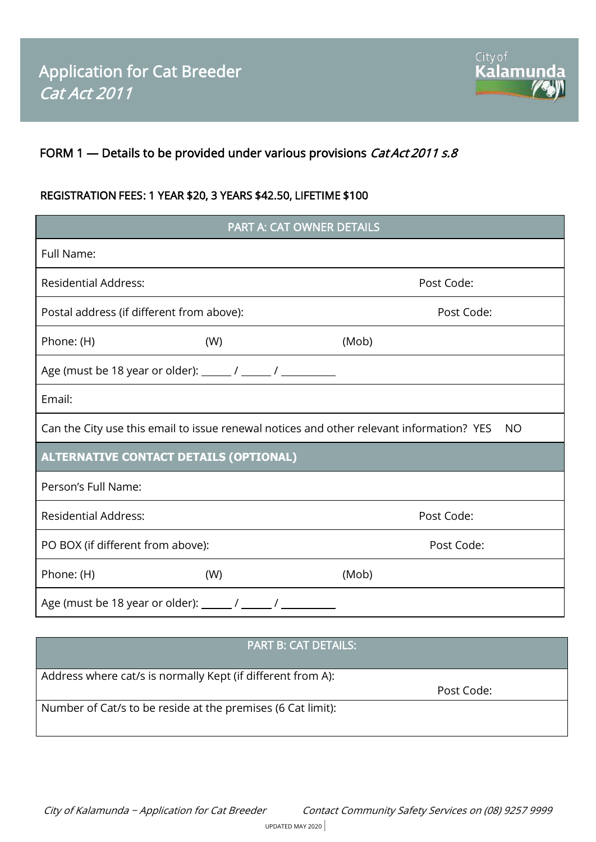

# FORM 1 - Details to be provided under various provisions *Cat Act 2011 s.8*

## REGISTRATION FEES: 1 YEAR \$20, 3 YEARS \$42.50, LIFETIME \$100

| PART A: CAT OWNER DETAILS                                                                             |     |            |  |
|-------------------------------------------------------------------------------------------------------|-----|------------|--|
| Full Name:                                                                                            |     |            |  |
| <b>Residential Address:</b>                                                                           |     | Post Code: |  |
| Postal address (if different from above):                                                             |     | Post Code: |  |
| Phone: (H)                                                                                            | (W) | (Mob)      |  |
|                                                                                                       |     |            |  |
| Email:                                                                                                |     |            |  |
| Can the City use this email to issue renewal notices and other relevant information? YES<br><b>NO</b> |     |            |  |
| <b>ALTERNATIVE CONTACT DETAILS (OPTIONAL)</b>                                                         |     |            |  |
| Person's Full Name:                                                                                   |     |            |  |
| <b>Residential Address:</b>                                                                           |     | Post Code: |  |
| PO BOX (if different from above):                                                                     |     | Post Code: |  |
| Phone: (H)                                                                                            | (W) | (Mob)      |  |
| Age (must be 18 year or older): ________ / _______ / _____                                            |     |            |  |

## PART B: CAT DETAILS:

Address where cat/s is normally Kept (if different from A):

Post Code:

Number of Cat/s to be reside at the premises (6 Cat limit):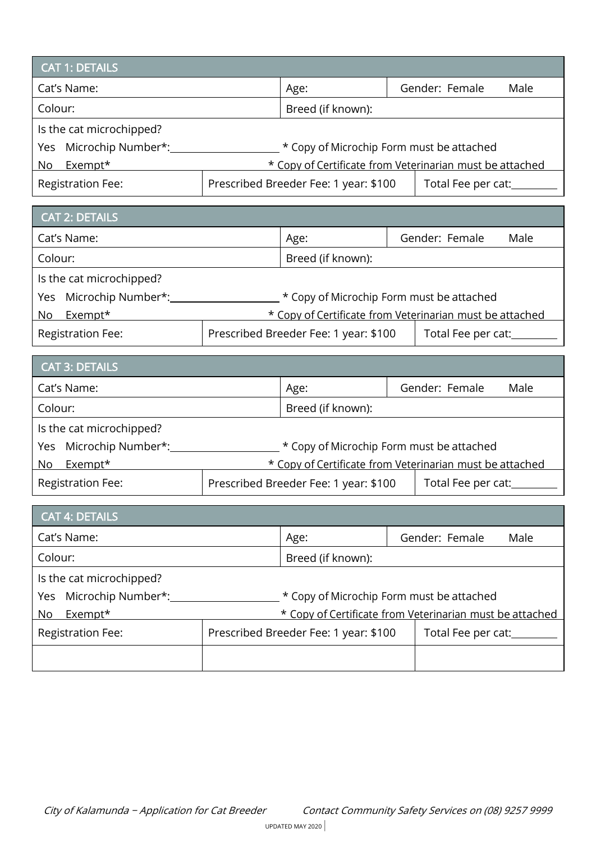| <b>CAT 1: DETAILS</b>        |                                                             |  |                |      |  |
|------------------------------|-------------------------------------------------------------|--|----------------|------|--|
| Cat's Name:                  | Age:                                                        |  | Gender: Female | Male |  |
| Colour:<br>Breed (if known): |                                                             |  |                |      |  |
| Is the cat microchipped?     |                                                             |  |                |      |  |
| Yes Microchip Number*:       | * Copy of Microchip Form must be attached                   |  |                |      |  |
| Exempt*<br>No.               | * Copy of Certificate from Veterinarian must be attached    |  |                |      |  |
| <b>Registration Fee:</b>     | Prescribed Breeder Fee: 1 year: \$100<br>Total Fee per cat: |  |                |      |  |

| <b>CAT 2: DETAILS</b>     |                                                             |  |                |      |
|---------------------------|-------------------------------------------------------------|--|----------------|------|
| Cat's Name:               | Age:                                                        |  | Gender: Female | Male |
| Colour:                   | Breed (if known):                                           |  |                |      |
| Is the cat microchipped?  |                                                             |  |                |      |
| Microchip Number*:<br>Yes | * Copy of Microchip Form must be attached                   |  |                |      |
| Exempt*<br>No             | * Copy of Certificate from Veterinarian must be attached    |  |                |      |
| <b>Registration Fee:</b>  | Prescribed Breeder Fee: 1 year: \$100<br>Total Fee per cat: |  |                |      |

|         | <b>CAT 3: DETAILS</b>    |                                                             |      |  |                |      |
|---------|--------------------------|-------------------------------------------------------------|------|--|----------------|------|
|         | Cat's Name:              |                                                             | Age: |  | Gender: Female | Male |
| Colour: |                          | Breed (if known):                                           |      |  |                |      |
|         | Is the cat microchipped? |                                                             |      |  |                |      |
|         | Yes Microchip Number*:   | * Copy of Microchip Form must be attached                   |      |  |                |      |
| No.     | Exempt*                  | * Copy of Certificate from Veterinarian must be attached    |      |  |                |      |
|         | <b>Registration Fee:</b> | Prescribed Breeder Fee: 1 year: \$100<br>Total Fee per cat: |      |  |                |      |

| <b>CAT 4: DETAILS</b>            |                                                             |      |  |                |      |
|----------------------------------|-------------------------------------------------------------|------|--|----------------|------|
| Cat's Name:                      |                                                             | Age: |  | Gender: Female | Male |
| Colour:                          | Breed (if known):                                           |      |  |                |      |
| Is the cat microchipped?         |                                                             |      |  |                |      |
| Microchip Number*:<br><b>Yes</b> | * Copy of Microchip Form must be attached                   |      |  |                |      |
| Exempt*<br>No                    | * Copy of Certificate from Veterinarian must be attached    |      |  |                |      |
| <b>Registration Fee:</b>         | Prescribed Breeder Fee: 1 year: \$100<br>Total Fee per cat: |      |  |                |      |
|                                  |                                                             |      |  |                |      |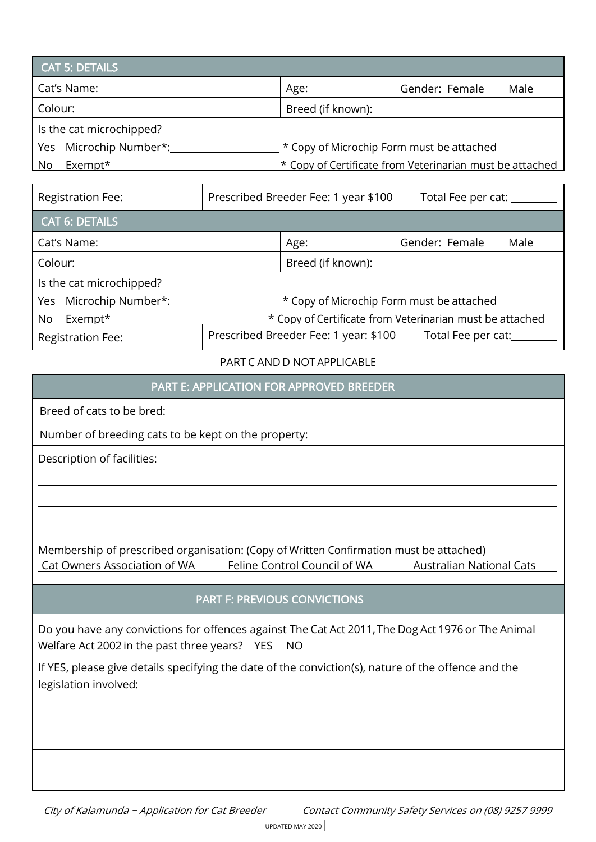| <b>CAT 5: DETAILS</b>     |                   |                                                          |
|---------------------------|-------------------|----------------------------------------------------------|
| Cat's Name:               | Age:              | Gender: Female<br>Male                                   |
| Colour:                   | Breed (if known): |                                                          |
| Is the cat microchipped?  |                   |                                                          |
| Microchip Number*:<br>Yes |                   | * Copy of Microchip Form must be attached                |
| Exempt*<br>No             |                   | * Copy of Certificate from Veterinarian must be attached |

| <b>Registration Fee:</b>  | Prescribed Breeder Fee: 1 year \$100<br>Total Fee per cat: ______ |  |  |  |  |
|---------------------------|-------------------------------------------------------------------|--|--|--|--|
| <b>CAT 6: DETAILS</b>     |                                                                   |  |  |  |  |
| Cat's Name:               | Gender: Female<br>Age:<br>Male                                    |  |  |  |  |
| Colour:                   | Breed (if known):                                                 |  |  |  |  |
| Is the cat microchipped?  |                                                                   |  |  |  |  |
| Microchip Number*:<br>Yes | * Copy of Microchip Form must be attached                         |  |  |  |  |
| Exempt*<br>No             | * Copy of Certificate from Veterinarian must be attached          |  |  |  |  |
| <b>Registration Fee:</b>  | Prescribed Breeder Fee: 1 year: \$100<br>Total Fee per cat:       |  |  |  |  |

#### PARTC AND D NOTAPPLICABLE

#### PART E: APPLICATION FOR APPROVED BREEDER

Breed of cats to be bred:

Number of breeding cats to be kept on the property:

Description of facilities:

Membership of prescribed organisation: (Copy of Written Confirmation must be attached) Cat Owners Association of WA Feline Control Council of WA Australian National Cats

## PART F: PREVIOUS CONVICTIONS

Do you have any convictions for offences against The Cat Act 2011,The Dog Act 1976 or The Animal Welfare Act 2002 in the past three years? YES NO

If YES, please give details specifying the date of the conviction(s), nature of the offence and the legislation involved: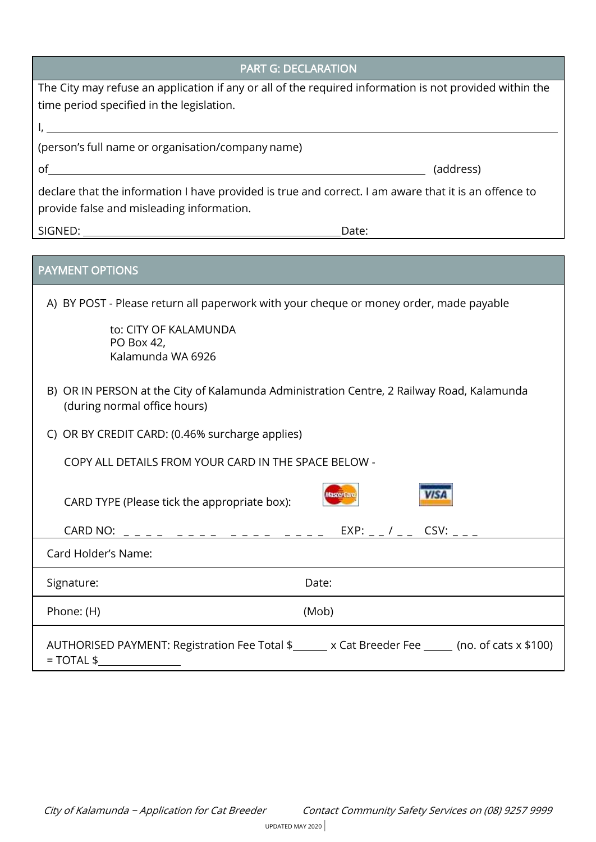| <b>PART G: DECLARATION</b>                                                                                                                           |
|------------------------------------------------------------------------------------------------------------------------------------------------------|
| The City may refuse an application if any or all of the required information is not provided within the<br>time period specified in the legislation. |
| <u> 1980 - Johann Barn, mars ar breithinn ar chuid ann an t-Alban ann an t-Alban ann an t-Alban ann an t-Alban a</u>                                 |
| (person's full name or organisation/company name)                                                                                                    |
| οf<br><u> 1989 - Johann Stoff, deutscher Stoffen und der Stoffen und der Stoffen und der Stoffen und der Stoffen und der</u><br>(address)            |
| declare that the information I have provided is true and correct. I am aware that it is an offence to<br>provide false and misleading information.   |
| Date:                                                                                                                                                |
|                                                                                                                                                      |
| <b>PAYMENT OPTIONS</b>                                                                                                                               |
| A) BY POST - Please return all paperwork with your cheque or money order, made payable                                                               |
| to: CITY OF KALAMUNDA<br>PO Box 42,<br>Kalamunda WA 6926                                                                                             |
| B) OR IN PERSON at the City of Kalamunda Administration Centre, 2 Railway Road, Kalamunda<br>(during normal office hours)                            |
| C) OR BY CREDIT CARD: (0.46% surcharge applies)                                                                                                      |
| COPY ALL DETAILS FROM YOUR CARD IN THE SPACE BELOW -                                                                                                 |
| CARD TYPE (Please tick the appropriate box):                                                                                                         |
|                                                                                                                                                      |
| Card Holder's Name:                                                                                                                                  |
| Date:<br>Signature:                                                                                                                                  |
| Phone: (H)<br>(Mob)                                                                                                                                  |
| AUTHORISED PAYMENT: Registration Fee Total \$ _____ x Cat Breeder Fee _____ (no. of cats x \$100)<br>$= TOTAL $$                                     |